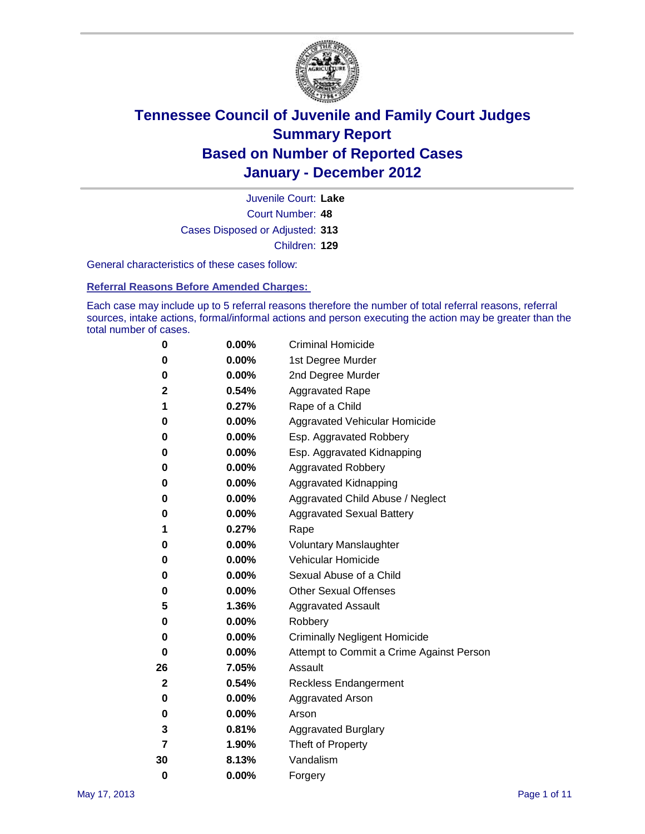

Court Number: **48** Juvenile Court: **Lake** Cases Disposed or Adjusted: **313** Children: **129**

General characteristics of these cases follow:

**Referral Reasons Before Amended Charges:** 

Each case may include up to 5 referral reasons therefore the number of total referral reasons, referral sources, intake actions, formal/informal actions and person executing the action may be greater than the total number of cases.

| 0  | 0.00% | <b>Criminal Homicide</b>                 |
|----|-------|------------------------------------------|
| 0  | 0.00% | 1st Degree Murder                        |
| 0  | 0.00% | 2nd Degree Murder                        |
| 2  | 0.54% | <b>Aggravated Rape</b>                   |
| 1  | 0.27% | Rape of a Child                          |
| 0  | 0.00% | Aggravated Vehicular Homicide            |
| 0  | 0.00% | Esp. Aggravated Robbery                  |
| 0  | 0.00% | Esp. Aggravated Kidnapping               |
| 0  | 0.00% | <b>Aggravated Robbery</b>                |
| 0  | 0.00% | Aggravated Kidnapping                    |
| 0  | 0.00% | Aggravated Child Abuse / Neglect         |
| 0  | 0.00% | <b>Aggravated Sexual Battery</b>         |
| 1  | 0.27% | Rape                                     |
| 0  | 0.00% | <b>Voluntary Manslaughter</b>            |
| 0  | 0.00% | Vehicular Homicide                       |
| 0  | 0.00% | Sexual Abuse of a Child                  |
| 0  | 0.00% | <b>Other Sexual Offenses</b>             |
| 5  | 1.36% | <b>Aggravated Assault</b>                |
| 0  | 0.00% | Robbery                                  |
| 0  | 0.00% | <b>Criminally Negligent Homicide</b>     |
| 0  | 0.00% | Attempt to Commit a Crime Against Person |
| 26 | 7.05% | Assault                                  |
| 2  | 0.54% | <b>Reckless Endangerment</b>             |
| 0  | 0.00% | <b>Aggravated Arson</b>                  |
| 0  | 0.00% | Arson                                    |
| 3  | 0.81% | <b>Aggravated Burglary</b>               |
| 7  | 1.90% | Theft of Property                        |
| 30 | 8.13% | Vandalism                                |
| 0  | 0.00% | Forgery                                  |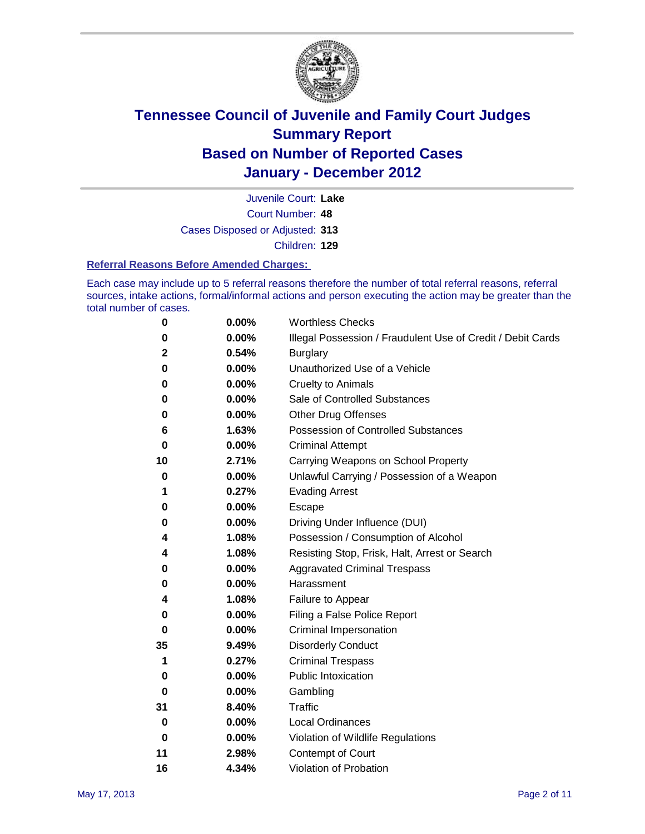

Court Number: **48** Juvenile Court: **Lake** Cases Disposed or Adjusted: **313** Children: **129**

#### **Referral Reasons Before Amended Charges:**

Each case may include up to 5 referral reasons therefore the number of total referral reasons, referral sources, intake actions, formal/informal actions and person executing the action may be greater than the total number of cases.

| 0  | 0.00% | <b>Worthless Checks</b>                                     |
|----|-------|-------------------------------------------------------------|
| 0  | 0.00% | Illegal Possession / Fraudulent Use of Credit / Debit Cards |
| 2  | 0.54% | <b>Burglary</b>                                             |
| 0  | 0.00% | Unauthorized Use of a Vehicle                               |
| 0  | 0.00% | <b>Cruelty to Animals</b>                                   |
| 0  | 0.00% | Sale of Controlled Substances                               |
| 0  | 0.00% | <b>Other Drug Offenses</b>                                  |
| 6  | 1.63% | Possession of Controlled Substances                         |
| 0  | 0.00% | <b>Criminal Attempt</b>                                     |
| 10 | 2.71% | Carrying Weapons on School Property                         |
| 0  | 0.00% | Unlawful Carrying / Possession of a Weapon                  |
| 1  | 0.27% | <b>Evading Arrest</b>                                       |
| 0  | 0.00% | Escape                                                      |
| 0  | 0.00% | Driving Under Influence (DUI)                               |
| 4  | 1.08% | Possession / Consumption of Alcohol                         |
| 4  | 1.08% | Resisting Stop, Frisk, Halt, Arrest or Search               |
| 0  | 0.00% | <b>Aggravated Criminal Trespass</b>                         |
| 0  | 0.00% | Harassment                                                  |
| 4  | 1.08% | Failure to Appear                                           |
| 0  | 0.00% | Filing a False Police Report                                |
| 0  | 0.00% | Criminal Impersonation                                      |
| 35 | 9.49% | <b>Disorderly Conduct</b>                                   |
| 1  | 0.27% | <b>Criminal Trespass</b>                                    |
| 0  | 0.00% | <b>Public Intoxication</b>                                  |
| 0  | 0.00% | Gambling                                                    |
| 31 | 8.40% | Traffic                                                     |
| 0  | 0.00% | <b>Local Ordinances</b>                                     |
| 0  | 0.00% | Violation of Wildlife Regulations                           |
| 11 | 2.98% | Contempt of Court                                           |
| 16 | 4.34% | Violation of Probation                                      |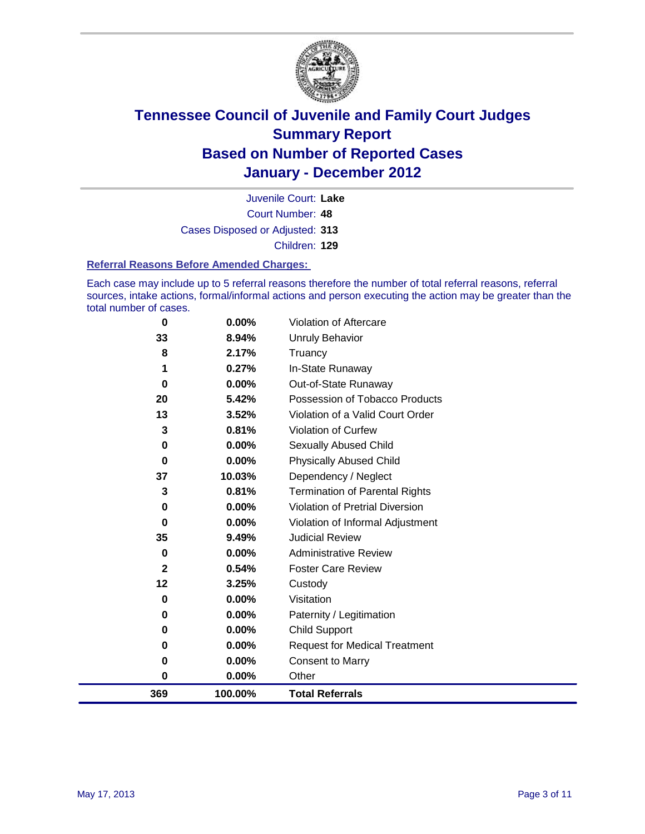

Court Number: **48** Juvenile Court: **Lake** Cases Disposed or Adjusted: **313** Children: **129**

#### **Referral Reasons Before Amended Charges:**

Each case may include up to 5 referral reasons therefore the number of total referral reasons, referral sources, intake actions, formal/informal actions and person executing the action may be greater than the total number of cases.

| 369      | 100.00%        | <b>Total Referrals</b>                 |
|----------|----------------|----------------------------------------|
| 0        | 0.00%          | Other                                  |
| 0        | 0.00%          | <b>Consent to Marry</b>                |
| 0        | $0.00\%$       | <b>Request for Medical Treatment</b>   |
| 0        | $0.00\%$       | <b>Child Support</b>                   |
| 0        | $0.00\%$       | Paternity / Legitimation               |
| 0        | 0.00%          | Visitation                             |
| 12       | 3.25%          | Custody                                |
| 2        | 0.54%          | <b>Foster Care Review</b>              |
| 0        | $0.00\%$       | <b>Administrative Review</b>           |
| 35       | 9.49%          | <b>Judicial Review</b>                 |
| 0        | $0.00\%$       | Violation of Informal Adjustment       |
| 0        | $0.00\%$       | <b>Violation of Pretrial Diversion</b> |
| 3        | 0.81%          | Termination of Parental Rights         |
| 37       | 10.03%         | Dependency / Neglect                   |
| 0        | $0.00\%$       | <b>Physically Abused Child</b>         |
| 0        | 0.00%          | <b>Sexually Abused Child</b>           |
| 3        | 0.81%          | Violation of Curfew                    |
| 13       | 3.52%          | Violation of a Valid Court Order       |
| 20       | 5.42%          | Possession of Tobacco Products         |
| 0        | $0.00\%$       | Out-of-State Runaway                   |
| 1        | 0.27%          | In-State Runaway                       |
| 33<br>8  | 8.94%<br>2.17% | <b>Unruly Behavior</b><br>Truancy      |
|          |                |                                        |
| $\bf{0}$ | 0.00%          | <b>Violation of Aftercare</b>          |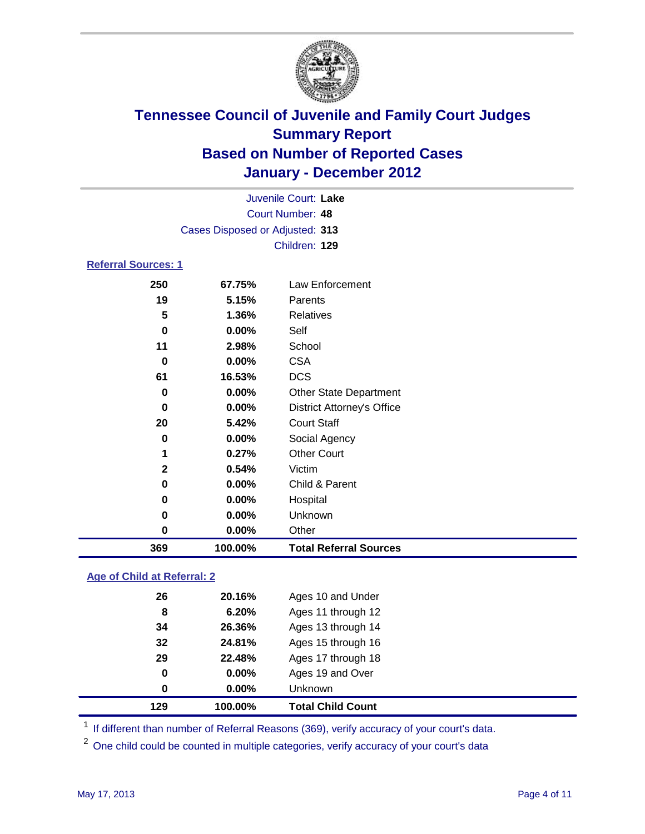

| 100.00%          | <b>Total Referral Sources</b>     |                                                         |  |  |
|------------------|-----------------------------------|---------------------------------------------------------|--|--|
| 0.00%            | Other                             |                                                         |  |  |
| 0.00%            | Unknown                           |                                                         |  |  |
| 0.00%            | Hospital                          |                                                         |  |  |
| 0.00%            | Child & Parent                    |                                                         |  |  |
| 0.54%            | Victim                            |                                                         |  |  |
| 0.27%            | <b>Other Court</b>                |                                                         |  |  |
| $0.00\%$         | Social Agency                     |                                                         |  |  |
| 5.42%            | <b>Court Staff</b>                |                                                         |  |  |
| 0.00%            | <b>District Attorney's Office</b> |                                                         |  |  |
| 0.00%            | <b>Other State Department</b>     |                                                         |  |  |
| 16.53%           | <b>DCS</b>                        |                                                         |  |  |
| 0.00%            | <b>CSA</b>                        |                                                         |  |  |
| 2.98%            | School                            |                                                         |  |  |
| 0.00%            | Self                              |                                                         |  |  |
| 1.36%            | Relatives                         |                                                         |  |  |
| 5.15%            | Parents                           |                                                         |  |  |
| 67.75%           | Law Enforcement                   |                                                         |  |  |
|                  |                                   |                                                         |  |  |
|                  | Children: 129                     |                                                         |  |  |
|                  |                                   |                                                         |  |  |
| Court Number: 48 |                                   |                                                         |  |  |
|                  |                                   |                                                         |  |  |
|                  | <b>Referral Sources: 1</b>        | Juvenile Court: Lake<br>Cases Disposed or Adjusted: 313 |  |  |

### **Age of Child at Referral: 2**

| 129 | 100.00%  | <b>Total Child Count</b> |
|-----|----------|--------------------------|
| 0   | $0.00\%$ | <b>Unknown</b>           |
| 0   | $0.00\%$ | Ages 19 and Over         |
| 29  | 22.48%   | Ages 17 through 18       |
| 32  | 24.81%   | Ages 15 through 16       |
| 34  | 26.36%   | Ages 13 through 14       |
| 8   | 6.20%    | Ages 11 through 12       |
| 26  | 20.16%   | Ages 10 and Under        |
|     |          |                          |

<sup>1</sup> If different than number of Referral Reasons (369), verify accuracy of your court's data.

<sup>2</sup> One child could be counted in multiple categories, verify accuracy of your court's data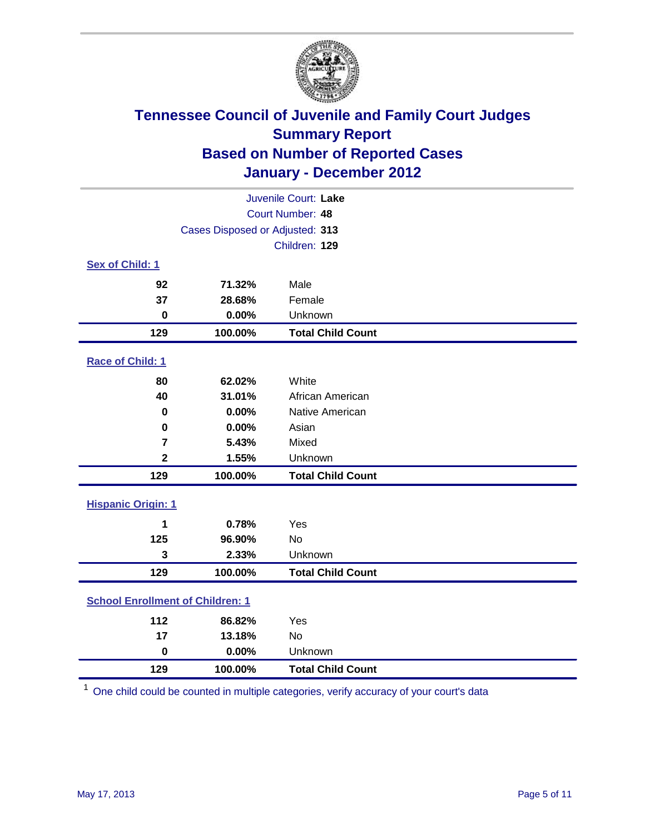

| Juvenile Court: Lake                    |                                 |                          |  |  |  |
|-----------------------------------------|---------------------------------|--------------------------|--|--|--|
|                                         | Court Number: 48                |                          |  |  |  |
|                                         | Cases Disposed or Adjusted: 313 |                          |  |  |  |
|                                         |                                 | Children: 129            |  |  |  |
| Sex of Child: 1                         |                                 |                          |  |  |  |
| 92                                      | 71.32%                          | Male                     |  |  |  |
| 37                                      | 28.68%                          | Female                   |  |  |  |
| $\mathbf 0$                             | 0.00%                           | Unknown                  |  |  |  |
| 129                                     | 100.00%                         | <b>Total Child Count</b> |  |  |  |
| Race of Child: 1                        |                                 |                          |  |  |  |
| 80                                      | 62.02%                          | White                    |  |  |  |
| 40                                      | 31.01%                          | African American         |  |  |  |
| 0                                       | 0.00%                           | Native American          |  |  |  |
| $\mathbf 0$                             | 0.00%                           | Asian                    |  |  |  |
| $\overline{\mathbf{r}}$                 | 5.43%                           | Mixed                    |  |  |  |
| $\overline{2}$                          | 1.55%                           | Unknown                  |  |  |  |
| 129                                     | 100.00%                         | <b>Total Child Count</b> |  |  |  |
| <b>Hispanic Origin: 1</b>               |                                 |                          |  |  |  |
| 1                                       | 0.78%                           | Yes                      |  |  |  |
| 125                                     | 96.90%                          | No                       |  |  |  |
| 3                                       | 2.33%                           | Unknown                  |  |  |  |
| 129                                     | 100.00%                         | <b>Total Child Count</b> |  |  |  |
| <b>School Enrollment of Children: 1</b> |                                 |                          |  |  |  |
| 112                                     | 86.82%                          | Yes                      |  |  |  |
| 17                                      | 13.18%                          | <b>No</b>                |  |  |  |
| $\mathbf 0$                             | 0.00%                           | Unknown                  |  |  |  |
| 129                                     | 100.00%                         | <b>Total Child Count</b> |  |  |  |

One child could be counted in multiple categories, verify accuracy of your court's data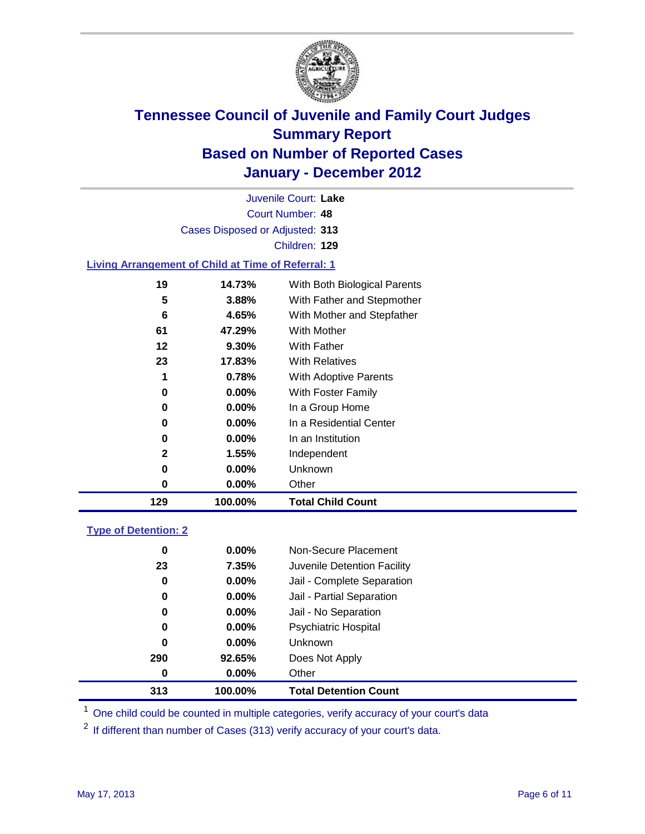

Court Number: **48** Juvenile Court: **Lake** Cases Disposed or Adjusted: **313** Children: **129**

### **Living Arrangement of Child at Time of Referral: 1**

| 129 | 100.00%  | <b>Total Child Count</b>     |
|-----|----------|------------------------------|
| 0   | 0.00%    | Other                        |
| 0   | $0.00\%$ | Unknown                      |
| 2   | 1.55%    | Independent                  |
| 0   | $0.00\%$ | In an Institution            |
| 0   | $0.00\%$ | In a Residential Center      |
| 0   | 0.00%    | In a Group Home              |
| 0   | $0.00\%$ | With Foster Family           |
| 1   | 0.78%    | With Adoptive Parents        |
| 23  | 17.83%   | <b>With Relatives</b>        |
| 12  | $9.30\%$ | With Father                  |
| 61  | 47.29%   | With Mother                  |
| 6   | 4.65%    | With Mother and Stepfather   |
| 5   | 3.88%    | With Father and Stepmother   |
| 19  | 14.73%   | With Both Biological Parents |
|     |          |                              |

#### **Type of Detention: 2**

| 313 | 100.00%  | <b>Total Detention Count</b> |  |
|-----|----------|------------------------------|--|
| 0   | 0.00%    | Other                        |  |
| 290 | 92.65%   | Does Not Apply               |  |
| 0   | $0.00\%$ | Unknown                      |  |
| 0   | $0.00\%$ | Psychiatric Hospital         |  |
| 0   | 0.00%    | Jail - No Separation         |  |
| 0   | $0.00\%$ | Jail - Partial Separation    |  |
| 0   | 0.00%    | Jail - Complete Separation   |  |
| 23  | 7.35%    | Juvenile Detention Facility  |  |
| 0   | $0.00\%$ | Non-Secure Placement         |  |
|     |          |                              |  |

<sup>1</sup> One child could be counted in multiple categories, verify accuracy of your court's data

<sup>2</sup> If different than number of Cases (313) verify accuracy of your court's data.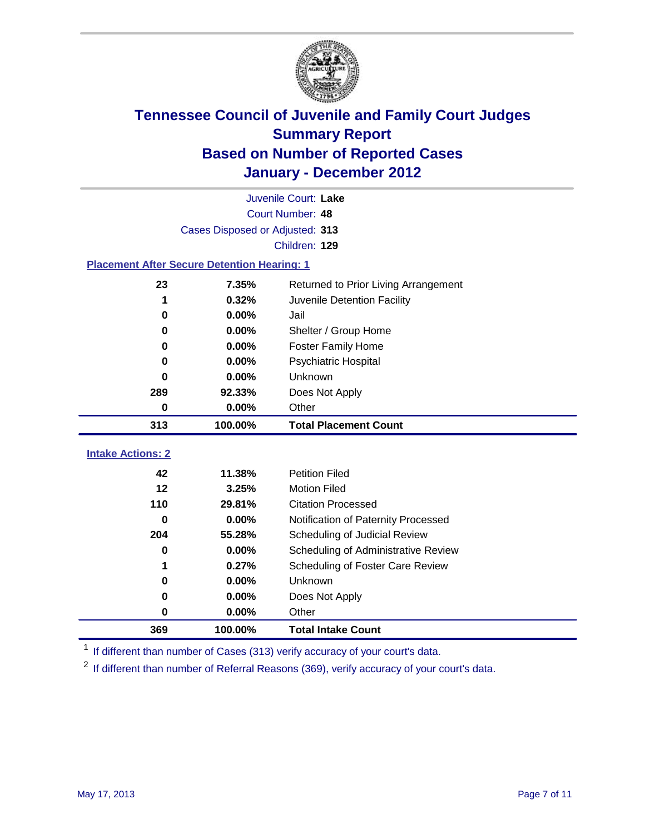

|                                                    | Juvenile Court: Lake            |                                      |  |  |  |
|----------------------------------------------------|---------------------------------|--------------------------------------|--|--|--|
|                                                    | Court Number: 48                |                                      |  |  |  |
|                                                    | Cases Disposed or Adjusted: 313 |                                      |  |  |  |
|                                                    |                                 | Children: 129                        |  |  |  |
| <b>Placement After Secure Detention Hearing: 1</b> |                                 |                                      |  |  |  |
| 23                                                 | 7.35%                           | Returned to Prior Living Arrangement |  |  |  |
| 1                                                  | 0.32%                           | Juvenile Detention Facility          |  |  |  |
| 0                                                  | 0.00%                           | Jail                                 |  |  |  |
| 0                                                  | 0.00%                           | Shelter / Group Home                 |  |  |  |
| 0                                                  | 0.00%                           | <b>Foster Family Home</b>            |  |  |  |
| 0                                                  | 0.00%                           | Psychiatric Hospital                 |  |  |  |
| 0                                                  | 0.00%                           | <b>Unknown</b>                       |  |  |  |
| 289                                                | 92.33%                          | Does Not Apply                       |  |  |  |
| $\pmb{0}$                                          | 0.00%                           | Other                                |  |  |  |
| 313                                                | 100.00%                         | <b>Total Placement Count</b>         |  |  |  |
| <b>Intake Actions: 2</b>                           |                                 |                                      |  |  |  |
| 42                                                 | 11.38%                          | <b>Petition Filed</b>                |  |  |  |
| 12                                                 | 3.25%                           | <b>Motion Filed</b>                  |  |  |  |
| 110                                                | 29.81%                          | <b>Citation Processed</b>            |  |  |  |
| $\bf{0}$                                           | 0.00%                           | Notification of Paternity Processed  |  |  |  |
| 204                                                | 55.28%                          | Scheduling of Judicial Review        |  |  |  |
| 0                                                  | 0.00%                           | Scheduling of Administrative Review  |  |  |  |
| 1                                                  | 0.27%                           | Scheduling of Foster Care Review     |  |  |  |
| 0                                                  | 0.00%                           | <b>Unknown</b>                       |  |  |  |
| 0                                                  | 0.00%                           | Does Not Apply                       |  |  |  |
| 0                                                  | 0.00%                           | Other                                |  |  |  |
| 369                                                | 100.00%                         | <b>Total Intake Count</b>            |  |  |  |

<sup>1</sup> If different than number of Cases (313) verify accuracy of your court's data.

<sup>2</sup> If different than number of Referral Reasons (369), verify accuracy of your court's data.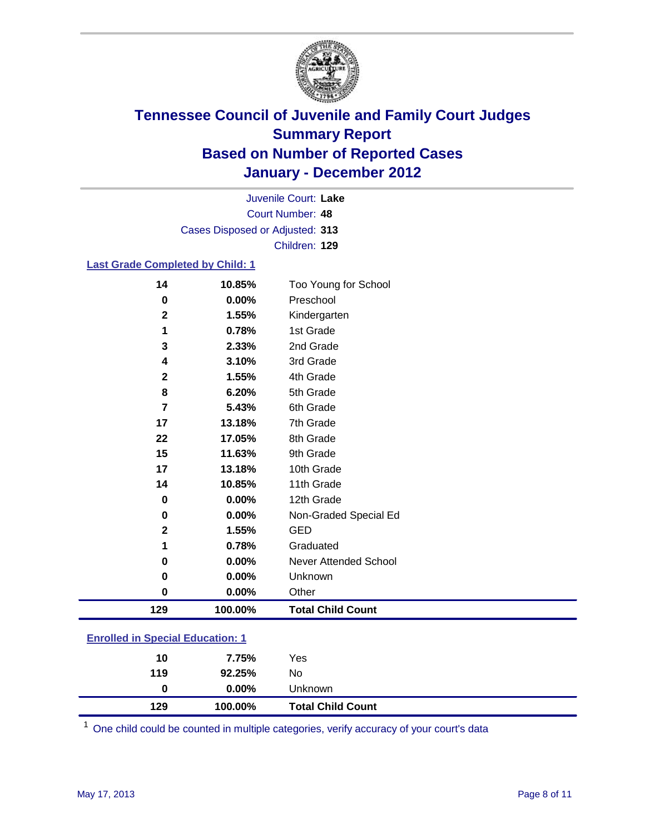

Court Number: **48** Juvenile Court: **Lake** Cases Disposed or Adjusted: **313** Children: **129**

### **Last Grade Completed by Child: 1**

| 14                                      | 10.85%  | Too Young for School         |  |
|-----------------------------------------|---------|------------------------------|--|
| $\bf{0}$                                | 0.00%   | Preschool                    |  |
| $\mathbf 2$                             | 1.55%   | Kindergarten                 |  |
| 1                                       | 0.78%   | 1st Grade                    |  |
| 3                                       | 2.33%   | 2nd Grade                    |  |
| 4                                       | 3.10%   | 3rd Grade                    |  |
| 2                                       | 1.55%   | 4th Grade                    |  |
| 8                                       | 6.20%   | 5th Grade                    |  |
| 7                                       | 5.43%   | 6th Grade                    |  |
| 17                                      | 13.18%  | 7th Grade                    |  |
| 22                                      | 17.05%  | 8th Grade                    |  |
| 15                                      | 11.63%  | 9th Grade                    |  |
| 17                                      | 13.18%  | 10th Grade                   |  |
| 14                                      | 10.85%  | 11th Grade                   |  |
| 0                                       | 0.00%   | 12th Grade                   |  |
| 0                                       | 0.00%   | Non-Graded Special Ed        |  |
| $\mathbf{2}$                            | 1.55%   | <b>GED</b>                   |  |
| 1                                       | 0.78%   | Graduated                    |  |
| 0                                       | 0.00%   | <b>Never Attended School</b> |  |
| $\pmb{0}$                               | 0.00%   | Unknown                      |  |
| $\pmb{0}$                               | 0.00%   | Other                        |  |
| 129                                     | 100.00% | <b>Total Child Count</b>     |  |
| <b>Enrolled in Special Education: 1</b> |         |                              |  |

| 129 | 100.00%  | <b>Total Child Count</b> |
|-----|----------|--------------------------|
| 0   | $0.00\%$ | Unknown                  |
| 119 | 92.25%   | No                       |
| 10  | 7.75%    | Yes                      |
|     |          |                          |

One child could be counted in multiple categories, verify accuracy of your court's data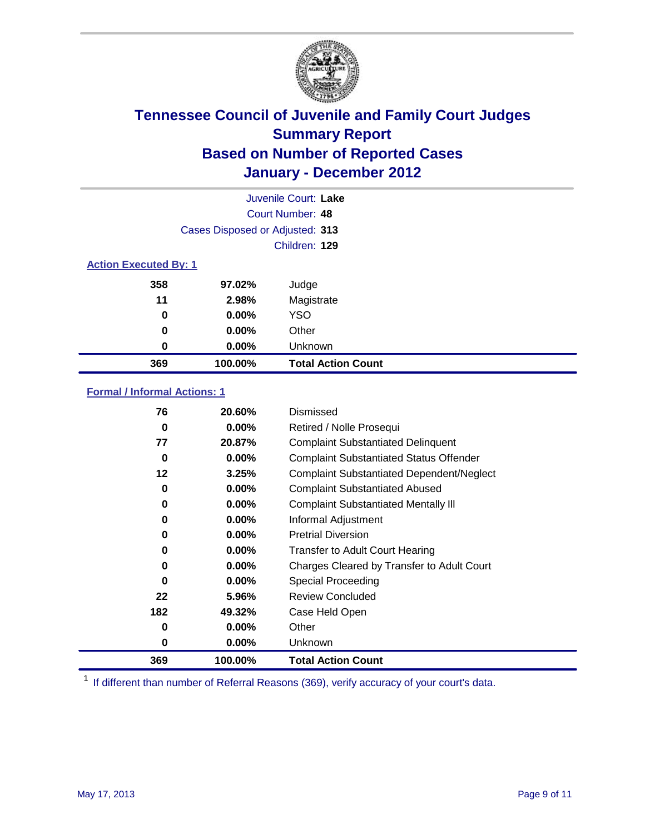

| Juvenile Court: Lake         |                                 |                           |  |  |  |
|------------------------------|---------------------------------|---------------------------|--|--|--|
|                              | Court Number: 48                |                           |  |  |  |
|                              | Cases Disposed or Adjusted: 313 |                           |  |  |  |
|                              |                                 | Children: 129             |  |  |  |
| <b>Action Executed By: 1</b> |                                 |                           |  |  |  |
| 358                          | 97.02%                          | Judge                     |  |  |  |
| 11                           | 2.98%                           | Magistrate                |  |  |  |
| 0                            | $0.00\%$                        | <b>YSO</b>                |  |  |  |
| $\bf{0}$                     | $0.00\%$                        | Other                     |  |  |  |
| 0                            | $0.00\%$                        | Unknown                   |  |  |  |
| 369                          | 100.00%                         | <b>Total Action Count</b> |  |  |  |

### **Formal / Informal Actions: 1**

| 76  | 20.60%   | Dismissed                                        |
|-----|----------|--------------------------------------------------|
| 0   | $0.00\%$ | Retired / Nolle Prosequi                         |
| 77  | 20.87%   | <b>Complaint Substantiated Delinquent</b>        |
| 0   | $0.00\%$ | <b>Complaint Substantiated Status Offender</b>   |
| 12  | 3.25%    | <b>Complaint Substantiated Dependent/Neglect</b> |
| 0   | $0.00\%$ | <b>Complaint Substantiated Abused</b>            |
| 0   | $0.00\%$ | <b>Complaint Substantiated Mentally III</b>      |
| 0   | $0.00\%$ | Informal Adjustment                              |
| 0   | $0.00\%$ | <b>Pretrial Diversion</b>                        |
| 0   | $0.00\%$ | <b>Transfer to Adult Court Hearing</b>           |
| 0   | $0.00\%$ | Charges Cleared by Transfer to Adult Court       |
| 0   | $0.00\%$ | <b>Special Proceeding</b>                        |
| 22  | 5.96%    | <b>Review Concluded</b>                          |
| 182 | 49.32%   | Case Held Open                                   |
| 0   | $0.00\%$ | Other                                            |
| 0   | $0.00\%$ | Unknown                                          |
| 369 | 100.00%  | Total Action Count                               |

<sup>1</sup> If different than number of Referral Reasons (369), verify accuracy of your court's data.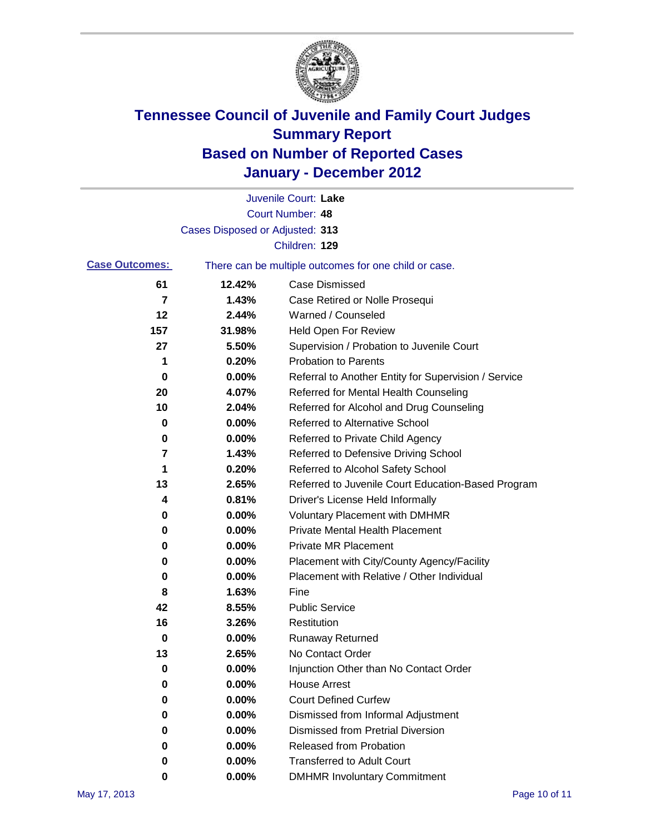

|                       |                                 | Juvenile Court: Lake                                  |
|-----------------------|---------------------------------|-------------------------------------------------------|
|                       |                                 | <b>Court Number: 48</b>                               |
|                       | Cases Disposed or Adjusted: 313 |                                                       |
|                       |                                 | Children: 129                                         |
| <b>Case Outcomes:</b> |                                 | There can be multiple outcomes for one child or case. |
| 61                    | 12.42%                          | <b>Case Dismissed</b>                                 |
| 7                     | 1.43%                           | Case Retired or Nolle Prosequi                        |
| 12                    | 2.44%                           | Warned / Counseled                                    |
| 157                   | 31.98%                          | Held Open For Review                                  |
| 27                    | 5.50%                           | Supervision / Probation to Juvenile Court             |
| 1                     | 0.20%                           | <b>Probation to Parents</b>                           |
| 0                     | 0.00%                           | Referral to Another Entity for Supervision / Service  |
| 20                    | 4.07%                           | Referred for Mental Health Counseling                 |
| 10                    | 2.04%                           | Referred for Alcohol and Drug Counseling              |
| 0                     | 0.00%                           | <b>Referred to Alternative School</b>                 |
| 0                     | 0.00%                           | Referred to Private Child Agency                      |
| 7                     | 1.43%                           | Referred to Defensive Driving School                  |
| 1                     | 0.20%                           | Referred to Alcohol Safety School                     |
| 13                    | 2.65%                           | Referred to Juvenile Court Education-Based Program    |
| 4                     | 0.81%                           | Driver's License Held Informally                      |
| 0                     | 0.00%                           | <b>Voluntary Placement with DMHMR</b>                 |
| 0                     | 0.00%                           | <b>Private Mental Health Placement</b>                |
| 0                     | 0.00%                           | <b>Private MR Placement</b>                           |
| 0                     | 0.00%                           | Placement with City/County Agency/Facility            |
| 0                     | 0.00%                           | Placement with Relative / Other Individual            |
| 8                     | 1.63%                           | Fine                                                  |
| 42                    | 8.55%                           | <b>Public Service</b>                                 |
| 16                    | 3.26%                           | Restitution                                           |
| 0                     | 0.00%                           | <b>Runaway Returned</b>                               |
| 13                    | 2.65%                           | No Contact Order                                      |
| 0                     | 0.00%                           | Injunction Other than No Contact Order                |
| 0                     | 0.00%                           | <b>House Arrest</b>                                   |
| 0                     | 0.00%                           | <b>Court Defined Curfew</b>                           |
| 0                     | 0.00%                           | Dismissed from Informal Adjustment                    |
| 0                     | 0.00%                           | <b>Dismissed from Pretrial Diversion</b>              |
| 0                     | 0.00%                           | Released from Probation                               |
| 0                     | $0.00\%$                        | <b>Transferred to Adult Court</b>                     |
| 0                     | 0.00%                           | <b>DMHMR Involuntary Commitment</b>                   |